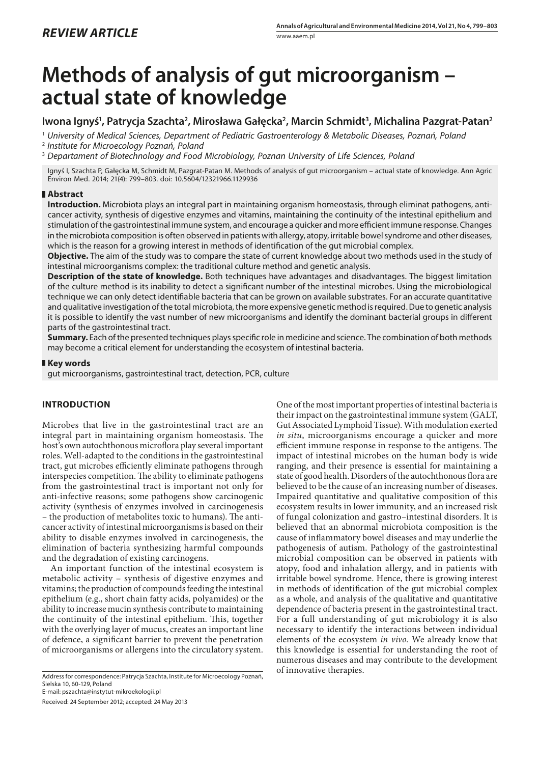# **Methods of analysis of gut microorganism – actual state of knowledge**

## Iwona Ignyś<sup>1</sup>, Patrycja Szachta<sup>2</sup>, Mirosława Gałęcka<sup>2</sup>, Marcin Schmidt<sup>3</sup>, Michalina Pazgrat-Patan<sup>2</sup>

1  *University of Medical Sciences, Department of Pediatric Gastroenterology & Metabolic Diseases, Poznań, Poland*

2  *Institute for Microecology Poznań, Poland*

3  *Departament of Biotechnology and Food Microbiology, Poznan University of Life Sciences, Poland*

Ignyś I, Szachta P, Gałęcka M, Schmidt M, Pazgrat-Patan M. Methods of analysis of gut microorganism – actual state of knowledge. Ann Agric Environ Med. 2014; 21(4): 799–803. doi: 10.5604/12321966.1129936

## **Abstract**

**Introduction.** Microbiota plays an integral part in maintaining organism homeostasis, through eliminat pathogens, anticancer activity, synthesis of digestive enzymes and vitamins, maintaining the continuity of the intestinal epithelium and stimulation of the gastrointestinal immune system, and encourage a quicker and more efficient immune response. Changes in the microbiota composition is often observed in patients with allergy, atopy, irritable bowel syndrome and other diseases, which is the reason for a growing interest in methods of identification of the gut microbial complex.

**Objective.** The aim of the study was to compare the state of current knowledge about two methods used in the study of intestinal microorganisms complex: the traditional culture method and genetic analysis.

**Description of the state of knowledge.** Both techniques have advantages and disadvantages. The biggest limitation of the culture method is its inability to detect a significant number of the intestinal microbes. Using the microbiological technique we can only detect identifiable bacteria that can be grown on available substrates. For an accurate quantitative and qualitative investigation of the total microbiota, the more expensive genetic method is required. Due to genetic analysis it is possible to identify the vast number of new microorganisms and identify the dominant bacterial groups in different parts of the gastrointestinal tract.

**Summary.** Each of the presented techniques plays specific role in medicine and science. The combination of both methods may become a critical element for understanding the ecosystem of intestinal bacteria.

## **Key words**

gut microorganisms, gastrointestinal tract, detection, PCR, culture

## **INTRODUCTION**

Microbes that live in the gastrointestinal tract are an integral part in maintaining organism homeostasis. The host's own autochthonous microflora play several important roles. Well-adapted to the conditions in the gastrointestinal tract, gut microbes efficiently eliminate pathogens through interspecies competition. The ability to eliminate pathogens from the gastrointestinal tract is important not only for [anti-infective](http://megaslownik.pl/slownik/angielsko_polski/,anti-infective) reasons; some pathogens show [carcinogenic](http://megaslownik.pl/slownik/angielsko_polski/,carcinogenic) activity (synthesis of enzymes involved in carcinogenesis – the production of metabolites toxic to humans). The anticancer activity of intestinal microorganisms is based on their ability to disable enzymes involved in carcinogenesis, the elimination of bacteria synthesizing harmful compounds and the degradation of existing carcinogens.

An important function of the intestinal ecosystem is metabolic activity – synthesis of digestive enzymes and vitamins; the production of compounds feeding the intestinal epithelium (e.g., short chain fatty acids, polyamides) or the ability to increase mucin synthesis contribute to maintaining the continuity of the intestinal epithelium. This, together with the overlying layer of mucus, creates an important line of defence, a significant barrier to prevent the penetration of microorganisms or allergens into the circulatory system.

of innovative therapies. Address for correspondence: Patrycja Szachta, Institute for Microecology Poznań, Sielska 10, 60-129, Poland

E-mail: pszachta@instytut-mikroekologii.pl

Received: 24 September 2012; accepted: 24 May 2013

One of the most important properties of intestinal bacteria is their impact on the gastrointestinal immune system (GALT, Gut Associated Lymphoid Tissue). With modulation exerted *in situ*, microorganisms encourage a quicker and more efficient immune response in response to the antigens. The impact of intestinal microbes on the human body is wide ranging, and their presence is essential for maintaining a state of good health. Disorders of the autochthonous flora are believed to be the cause of an increasing number of diseases. Impaired quantitative and qualitative composition of this ecosystem results in lower immunity, and an increased risk of fungal colonization and gastro–intestinal disorders. It is believed that an abnormal microbiota composition is the cause of inflammatory bowel diseases and may underlie the pathogenesis of autism. Pathology of the gastrointestinal microbial composition can be observed in patients with atopy, food and inhalation allergy, and in patients with irritable bowel syndrome. Hence, there is growing interest in methods of identification of the gut microbial complex as a whole, and analysis of the qualitative and quantitative dependence of bacteria present in the gastrointestinal tract. For a full understanding of gut microbiology it is also necessary to identify the interactions between individual elements of the ecosystem *in vivo.* We already know that this knowledge is essential for understanding the root of numerous diseases and may contribute to the development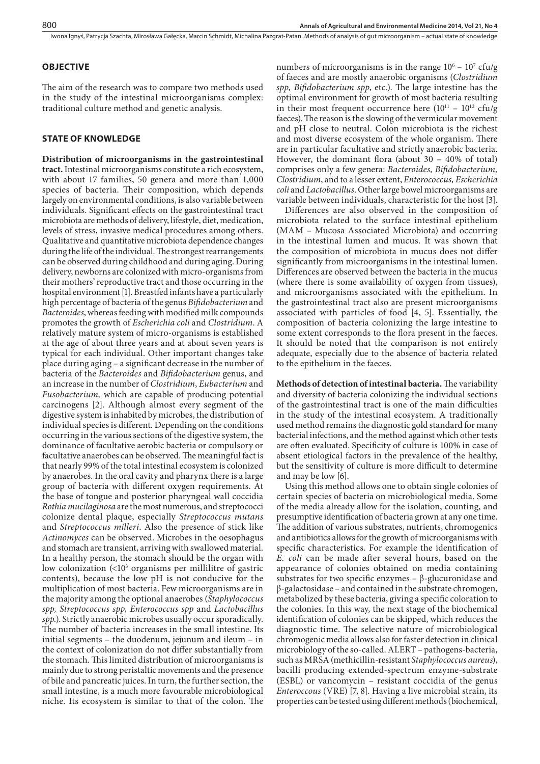## **OBJECTIVE**

The aim of the research was to compare two methods used in the study of the intestinal microorganisms complex: traditional culture method and genetic analysis.

### **STATE OF KNOWLEDGE**

**Distribution of microorganisms in the gastrointestinal tract.** Intestinal microorganisms constitute a rich ecosystem, with about 17 families, 50 genera and more than 1,000 species of bacteria. Their composition, which depends largely on environmental conditions, is also variable between individuals. Significant effects on the gastrointestinal tract microbiota are methods of delivery, lifestyle, diet, medication, levels of stress, invasive medical procedures among others. Qualitative and quantitative microbiota dependence changes during the life of the individual. The strongest rearrangements can be observed during childhood and during aging. During delivery, newborns are colonized with micro-organisms from their mothers' reproductive tract and those occurring in the hospital environment [1]. Breastfed infants have a particularly high percentage of bacteria of the genus *Bifidobacterium* and *Bacteroides*, whereas feeding with modified milk compounds promotes the growth of *Escherichia coli* and *Clostridium*. A relatively mature system of micro-organisms is established at the age of about three years and at about seven years is typical for each individual. Other important changes take place during aging – a significant decrease in the number of bacteria of the *Bacteroides* and *Bifidobacterium* genus, and an increase in the number of *Clostridium*, *Eubacterium* and *Fusobacterium,* which are capable of producing potential carcinogens [2]. Although almost every segment of the digestive system is inhabited by microbes, the distribution of individual species is different. Depending on the conditions occurring in the various sections of the digestive system, the dominance of facultative aerobic bacteria or compulsory or facultative anaerobes can be observed. The meaningful fact is that nearly 99% of the total intestinal ecosystem is colonized by anaerobes. In the oral cavity and pharynx there is a large group of bacteria with different oxygen requirements. At the base of tongue and posterior pharyngeal wall coccidia *Rothia mucilaginosa* are the most numerous, and streptococci colonize dental plaque, especially *Streptococcus mutans* and *Streptococcus milleri*. Also the presence of stick like *Actinomyces* can be observed. Microbes in the oesophagus and stomach are transient, arriving with swallowed material. In a healthy person, the stomach should be the organ with low colonization (<103 organisms per millilitre of gastric contents), because the low pH is not conducive for the multiplication of most bacteria. Few microorganisms are in the majority among the optional anaerobes (*Staphylococcus spp, Streptococcus spp, Enterococcus spp* and *Lactobacillus spp.*). Strictly anaerobic microbes usually occur sporadically. The number of bacteria increases in the small intestine. Its initial segments – the duodenum, jejunum and ileum – in the context of colonization do not differ substantially from the stomach. This limited distribution of microorganisms is mainly due to strong peristaltic movements and the presence of bile and pancreatic juices. In turn, the further section, the small intestine, is a much more favourable microbiological niche. Its ecosystem is similar to that of the colon. The

numbers of microorganisms is in the range  $10^6 - 10^7$  cfu/g of faeces and are mostly anaerobic organisms (*Clostridium spp, Bifidobacterium spp*, etc.). The large intestine has the optimal environment for growth of most bacteria resulting in their most frequent occurrence here  $(10^{11} – 10^{12}$  cfu/g faeces). The reason is the slowing of the vermicular movement and pH close to neutral. Colon microbiota is the richest and most diverse ecosystem of the whole organism. There are in particular facultative and strictly anaerobic bacteria. However, the dominant flora (about 30 – 40% of total) comprises only a few genera: *Bacteroides, Bifidobacterium, Clostridium*, and to a lesser extent, *Enterococcus, Escherichia coli* and *Lactobacillus*. Other large bowel microorganisms are variable between individuals, characteristic for the host [3].

Differences are also observed in the composition of microbiota related to the surface intestinal epithelium (MAM – Mucosa Associated Microbiota) and occurring in the intestinal lumen and mucus. It was shown that the composition of microbiota in mucus does not differ significantly from microorganisms in the intestinal lumen. Differences are observed between the bacteria in the mucus (where there is some availability of oxygen from tissues), and microorganisms associated with the epithelium. In the gastrointestinal tract also are present microorganisms associated with particles of food [4, 5]. Essentially, the composition of bacteria colonizing the large intestine to some extent corresponds to the flora present in the faeces. It should be noted that the comparison is not entirely adequate, especially due to the absence of bacteria related to the epithelium in the faeces.

**Methods of detection of intestinal bacteria.** The variability and diversity of bacteria colonizing the individual sections of the gastrointestinal tract is one of the main difficulties in the study of the intestinal ecosystem. A traditionally used method remains the diagnostic gold standard for many bacterial infections, and the method against which other tests are often evaluated. Specificity of culture is 100% in case of absent etiological factors in the prevalence of the healthy, but the sensitivity of culture is more difficult to determine and may be low [6].

Using this method allows one to obtain single colonies of certain species of bacteria on microbiological media. Some of the media already allow for the isolation, counting, and presumptive identification of bacteria grown at any one time. The addition of various substrates, nutrients, chromogenics and antibiotics allows for the growth of microorganisms with specific characteristics. For example the identification of *E. coli* can be made after several hours, based on the appearance of colonies obtained on media containing substrates for two specific enzymes  $-\beta$ -glucuronidase and β-galactosidase – and contained in the substrate chromogen, metabolized by these bacteria, giving a specific coloration to the colonies. In this way, the next stage of the biochemical identification of colonies can be skipped, which reduces the diagnostic time. The selective nature of microbiological chromogenic media allows also for faster detection in clinical microbiology of the so-called. ALERT – pathogens-bacteria, such as MRSA (methicillin-resistant *Staphylococcus aureus*), bacilli producing extended-spectrum enzyme-substrate (ESBL) or vancomycin – resistant coccidia of the genus *Enteroccous* (VRE) [7, 8]. Having a live microbial strain, its properties can be tested using different methods (biochemical,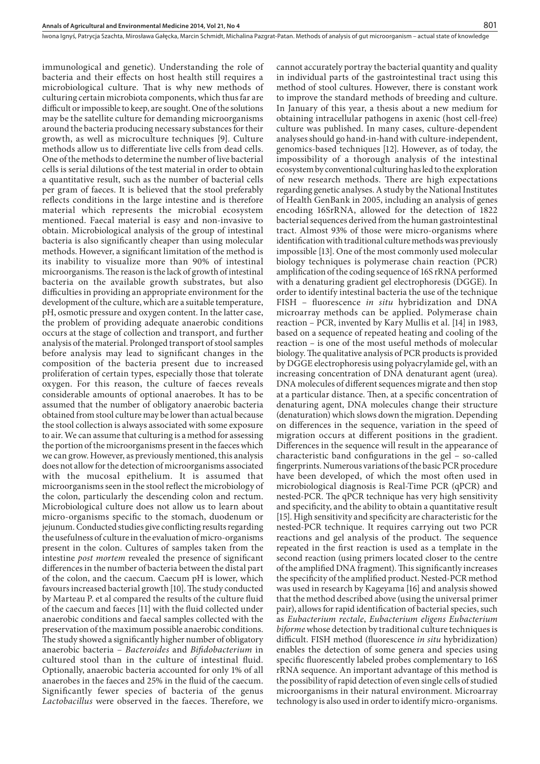immunological and genetic). Understanding the role of bacteria and their effects on host health still requires a microbiological culture. That is why new methods of culturing certain microbiota components, which thus far are difficult or impossible to keep, are sought. One of the solutions may be the satellite culture for demanding microorganisms around the bacteria producing necessary substances for their growth, as well as microculture techniques [9]. Culture methods allow us to differentiate live cells from dead cells. One of the methods to determine the number of live bacterial cells is serial dilutions of the test material in order to obtain a quantitative result, such as the number of bacterial cells per gram of faeces. It is believed that the stool preferably reflects conditions in the large intestine and is therefore material which represents the microbial ecosystem mentioned. Faecal material is easy and non-invasive to obtain. Microbiological analysis of the group of intestinal bacteria is also significantly cheaper than using molecular methods. However, a significant limitation of the method is its inability to visualize more than 90% of intestinal microorganisms. The reason is the lack of growth of intestinal bacteria on the available growth substrates, but also difficulties in providing an appropriate environment for the development of the culture, which are a suitable temperature, pH, osmotic pressure and oxygen content. In the latter case, the problem of providing adequate anaerobic conditions occurs at the stage of collection and transport, and further analysis of the material. Prolonged transport of stool samples before analysis may lead to significant changes in the composition of the bacteria present due to increased proliferation of certain types, especially those that tolerate oxygen. For this reason, the culture of faeces reveals considerable amounts of optional anaerobes. It has to be assumed that the number of obligatory anaerobic bacteria obtained from stool culture may be lower than actual because the stool collection is always associated with some exposure to air. We can assume that culturing is a method for assessing the portion of the microorganisms present in the faeces which we can grow. However, as previously mentioned, this analysis does not allow for the detection of microorganisms associated with the mucosal epithelium. It is assumed that microorganisms seen in the stool reflect the microbiology of the colon, particularly the descending colon and rectum. Microbiological culture does not allow us to learn about micro-organisms specific to the stomach, duodenum or jejunum. Conducted studies give conflicting results regarding the usefulness of culture in the evaluation of micro-organisms present in the colon. Cultures of samples taken from the intestine *post mortem* revealed the presence of significant differences in the number of bacteria between the distal part of the colon, and the caecum. Caecum pH is lower, which favours increased bacterial growth [10]. The study conducted by Marteau P. et al compared the results of the culture fluid of the caecum and faeces [11] with the fluid collected under anaerobic conditions and faecal samples collected with the preservation of the maximum possible anaerobic conditions. The study showed a significantly higher number of obligatory anaerobic bacteria – *Bacteroides* and *Bifidobacterium* in cultured stool than in the culture of intestinal fluid. Optionally, anaerobic bacteria accounted for only 1% of all anaerobes in the faeces and 25% in the fluid of the caecum. Significantly fewer species of bacteria of the genus *Lactobacillus* were observed in the faeces. Therefore, we

cannot accurately portray the bacterial quantity and quality in individual parts of the gastrointestinal tract using this method of stool cultures. However, there is constant work to improve the standard methods of breeding and culture. In January of this year, a thesis about a new medium for obtaining intracellular pathogens in axenic (host cell-free) culture was published. In many cases, culture-dependent analyses should go hand-in-hand with culture-independent, genomics-based techniques [12]. However, as of today, the impossibility of a thorough analysis of the intestinal ecosystem by conventional culturing has led to the exploration of new research methods. There are high expectations regarding genetic analyses. A study by the National Institutes of Health GenBank in 2005, including an analysis of genes encoding 16SrRNA, allowed for the detection of 1822 bacterial sequences derived from the human gastrointestinal tract. Almost 93% of those were micro-organisms where identification with traditional culture methods was previously impossible [13]. One of the most commonly used molecular biology techniques is polymerase chain reaction (PCR) amplification of the coding sequence of 16S rRNA performed with a denaturing gradient gel electrophoresis (DGGE). In order to identify intestinal bacteria the use of the technique FISH – fluorescence *in situ* hybridization and DNA microarray methods can be applied. Polymerase chain reaction – PCR, invented by Kary Mullis et al. [14] in 1983, based on a sequence of repeated heating and cooling of the reaction – is one of the most useful methods of molecular biology. The qualitative analysis of PCR products is provided by DGGE electrophoresis using polyacrylamide gel, with an increasing concentration of DNA denaturant agent (urea). DNA molecules of different sequences migrate and then stop at a particular distance. Then, at a specific concentration of denaturing agent, DNA molecules change their structure (denaturation) which slows down the migration. Depending on differences in the sequence, variation in the speed of migration occurs at different positions in the gradient. Differences in the sequence will result in the appearance of characteristic band configurations in the gel – so-called fingerprints. Numerous variations of the basic PCR procedure have been developed, of which the most often used in microbiological diagnosis is Real-Time PCR (qPCR) and nested-PCR. The qPCR technique has very high sensitivity and specificity, and the ability to obtain a quantitative result [15]. High sensitivity and specificity are characteristic for the nested-PCR technique. It requires carrying out two PCR reactions and gel analysis of the product. The sequence repeated in the first reaction is used as a template in the second reaction (using primers located closer to the centre of the amplified DNA fragment). This significantly increases the specificity of the amplified product. Nested-PCR method was used in research by Kageyama [16] and analysis showed that the method described above (using the universal primer pair), allows for rapid identification of bacterial species, such as *Eubacterium rectale*, *Eubacterium eligens Eubacterium biforme* whose detection by traditional culture techniques is difficult. FISH method (fluorescence *in situ* hybridization) enables the detection of some genera and species using specific fluorescently labeled probes complementary to 16S rRNA sequence. An important advantage of this method is the possibility of rapid detection of even single cells of studied microorganisms in their natural environment. Microarray technology is also used in order to identify micro-organisms.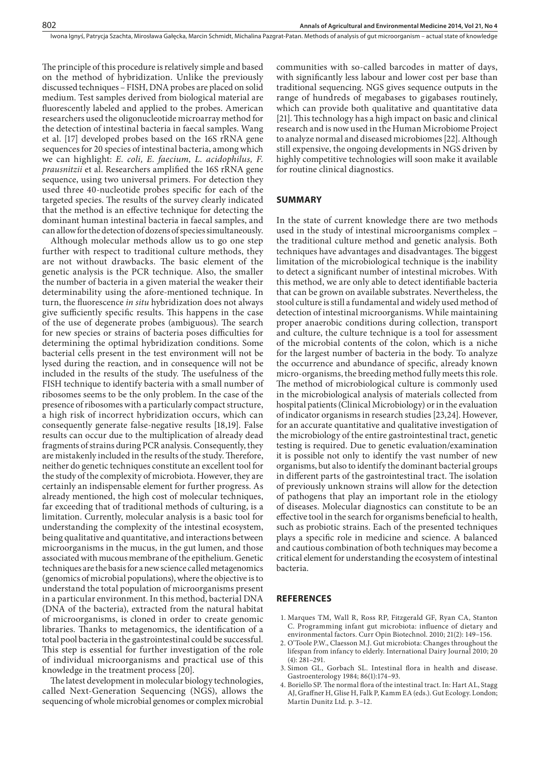The principle of this procedure is relatively simple and based on the method of hybridization. Unlike the previously discussed techniques – FISH, DNA probes are placed on solid medium. Test samples derived from biological material are fluorescently labeled and applied to the probes. American researchers used the oligonucleotide microarray method for the detection of intestinal bacteria in faecal samples. Wang et al. [17] developed probes based on the 16S rRNA gene sequences for 20 species of intestinal bacteria, among which we can highlight: *E. coli, E. faecium, L. acidophilus, F. prausnitzii* et al. Researchers amplified the 16S rRNA gene sequence, using two universal primers. For detection they used three 40-nucleotide probes specific for each of the targeted species. The results of the survey clearly indicated that the method is an effective technique for detecting the dominant human intestinal bacteria in faecal samples, and can allow for the detection of dozens of species simultaneously.

Although molecular methods allow us to go one step further with respect to traditional culture methods, they are not without drawbacks. The basic element of the genetic analysis is the PCR technique. Also, the smaller the number of bacteria in a given material the weaker their [determinability](http://megaslownik.pl/slownik/angielsko_polski/,determinability) using the afore-mentioned technique. In turn, the fluorescence *in situ* hybridization does not always give sufficiently specific results. This happens in the case of the use of degenerate probes (ambiguous). The search for new species or strains of bacteria poses difficulties for determining the optimal hybridization conditions. Some bacterial cells present in the test environment will not be lysed during the reaction, and in consequence will not be included in the results of the study. The usefulness of the FISH technique to identify bacteria with a small number of ribosomes seems to be the only problem. In the case of the presence of ribosomes with a particularly compact structure, a high risk of incorrect hybridization occurs, which can consequently generate false-negative results [18,19]. False results can occur due to the multiplication of already dead fragments of strains during PCR analysis. Consequently, they are mistakenly included in the results of the study. Therefore, neither do genetic techniques constitute an excellent tool for the study of the complexity of microbiota. However, they are certainly an indispensable element for further progress. As already mentioned, the high cost of molecular techniques, far exceeding that of traditional methods of culturing, is a limitation. Currently, molecular analysis is a basic tool for understanding the complexity of the intestinal ecosystem, being qualitative and quantitative, and interactions between microorganisms in the mucus, in the gut lumen, and those associated with mucous membrane of the epithelium. Genetic techniques are the basis for a new science called metagenomics (genomics of microbial populations), where the objective is to understand the total population of microorganisms present in a particular environment. In this method, bacterial DNA (DNA of the bacteria), extracted from the natural habitat of microorganisms, is cloned in order to create genomic libraries. Thanks to metagenomics, the identification of a total pool bacteria in the gastrointestinal could be successful. This step is essential for further investigation of the role of individual microorganisms and practical use of this knowledge in the treatment process [20].

The latest development in molecular biology technologies, called Next-Generation Sequencing (NGS), allows the sequencing of whole microbial genomes or complex microbial communities with so-called barcodes in matter of days, with significantly less labour and lower cost per base than traditional sequencing. NGS gives sequence outputs in the range of hundreds of megabases to gigabases routinely, which can provide both qualitative and quantitative data [21]. This technology has a high impact on basic and clinical research and is now used in the Human Microbiome Project to analyze normal and diseased microbiomes [22]. Although still expensive, the ongoing developments in NGS driven by highly competitive technologies will soon make it available for routine clinical diagnostics.

#### **SUMMARY**

In the state of current knowledge there are two methods used in the study of intestinal microorganisms complex – the traditional culture method and genetic analysis. Both techniques have advantages and disadvantages. The biggest limitation of the microbiological technique is the inability to detect a significant number of intestinal microbes. With this method, we are only able to detect identifiable bacteria that can be grown on available substrates. Nevertheless, the stool culture is still a fundamental and widely used method of detection of intestinal microorganisms. While maintaining proper anaerobic conditions during collection, transport and culture, the culture technique is a tool for assessment of the microbial contents of the colon, which is a niche for the largest number of bacteria in the body. To analyze the occurrence and abundance of specific, already known micro-organisms, the breeding method fully meets this role. The method of microbiological culture is commonly used in the microbiological analysis of materials collected from hospital patients (Clinical Microbiology) or in the evaluation of indicator organisms in research studies [23,24]. However, for an accurate quantitative and qualitative investigation of the microbiology of the entire gastrointestinal tract, genetic testing is required. Due to genetic evaluation/examination it is possible not only to identify the vast number of new organisms, but also to identify the dominant bacterial groups in different parts of the gastrointestinal tract. The isolation of previously unknown strains will allow for the detection of pathogens that play an important role in the etiology of diseases. Molecular diagnostics can constitute to be an effective tool in the search for organisms beneficial to health, such as probiotic strains. Each of the presented techniques plays a specific role in medicine and science. A balanced and cautious combination of both techniques may become a critical element for understanding the ecosystem of intestinal bacteria.

#### **REFERENCES**

- 1. [Marques TM,](http://www.ncbi.nlm.nih.gov/pubmed?term=%22Marques TM%22%5BAuthor%5D) [Wall R,](http://www.ncbi.nlm.nih.gov/pubmed?term=%22Wall R%22%5BAuthor%5D) [Ross RP,](http://www.ncbi.nlm.nih.gov/pubmed?term=%22Ross RP%22%5BAuthor%5D) [Fitzgerald GF](http://www.ncbi.nlm.nih.gov/pubmed?term=%22Fitzgerald GF%22%5BAuthor%5D), [Ryan CA,](http://www.ncbi.nlm.nih.gov/pubmed?term=%22Ryan CA%22%5BAuthor%5D) [Stanton](http://www.ncbi.nlm.nih.gov/pubmed?term=%22Stanton C%22%5BAuthor%5D)  [C](http://www.ncbi.nlm.nih.gov/pubmed?term=%22Stanton C%22%5BAuthor%5D). Programming infant gut microbiota: influence of dietary and environmental factors. [Curr Opin Biotechnol.](file:///E:/InstytutMedycynyWsi/AAEM/21_4/_Dane/17_077/javascript:AL_get(this, ) 2010; 21(2): 149–156.
- 2. O'Toole P.W., Claesson M.J. Gut microbiota: Changes throughout the lifespan from infancy to elderly. [International Dairy Journal](http://www.sciencedirect.com/science/journal/09586946) 2010; [20](http://www.sciencedirect.com/science?_ob=PublicationURL&_tockey=%23TOC%235055%232010%23999799995%231669105%23FLA%23&_cdi=5055&_pubType=J&view=c&_auth=y&_acct=C000050221&_version=1&_urlVersion=0&_userid=10&md5=64c732b36ac0adc4c5c40fba2b472075)  [\(4\)](http://www.sciencedirect.com/science?_ob=PublicationURL&_tockey=%23TOC%235055%232010%23999799995%231669105%23FLA%23&_cdi=5055&_pubType=J&view=c&_auth=y&_acct=C000050221&_version=1&_urlVersion=0&_userid=10&md5=64c732b36ac0adc4c5c40fba2b472075): 281–291.
- 3. [Simon GL](http://www.ncbi.nlm.nih.gov/pubmed?term=%22Simon GL%22%5BAuthor%5D), [Gorbach SL](http://www.ncbi.nlm.nih.gov/pubmed?term=%22Gorbach SL%22%5BAuthor%5D). Intestinal flora in health and disease. [Gastroenterology](file:///E:/InstytutMedycynyWsi/AAEM/21_4/_Dane/17_077/javascript:AL_get(this, ) 1984; 86(1):174–93.
- 4. Boriello SP. The normal flora of the intestinal tract. In: Hart AL, Stagg AJ, Graffner H, Glise H, Falk P, Kamm EA (eds.). Gut Ecology. London; Martin Dunitz Ltd. p. 3–12.